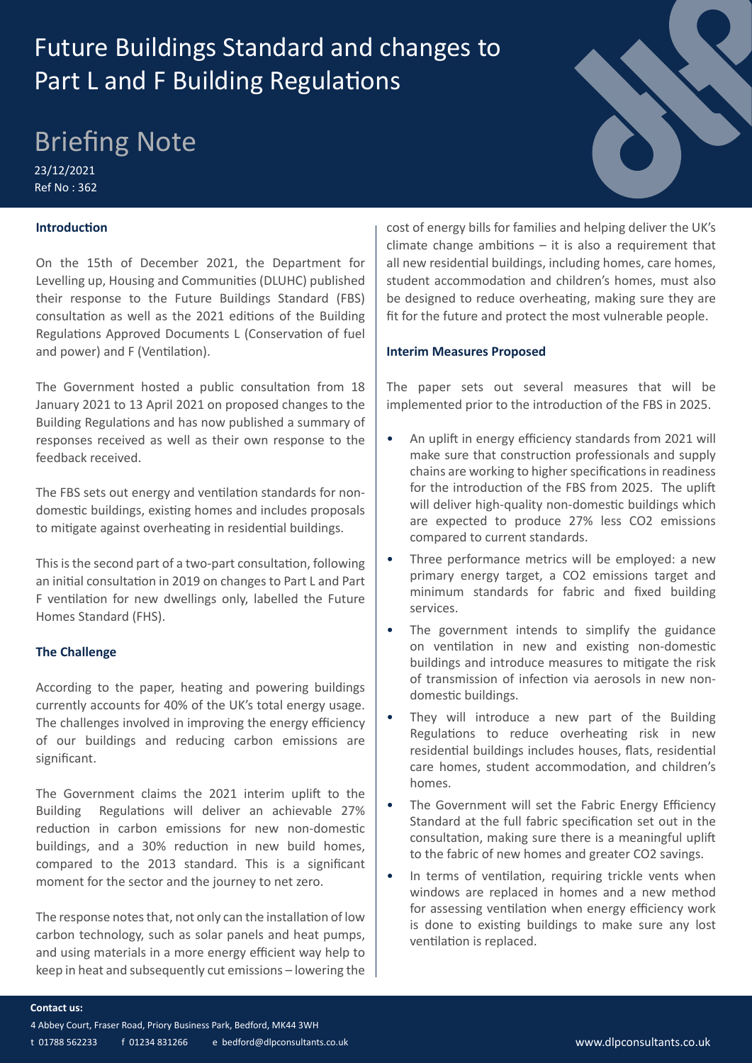# Future Buildings Standard and changes to Part L and F Building Regulations

# Briefing Note

23/12/2021 Ref No : 362

## **Introduction**

On the 15th of December 2021, the Department for Levelling up, Housing and Communities (DLUHC) published their response to the Future Buildings Standard (FBS) consultation as well as the 2021 editions of the Building Regulations Approved Documents L (Conservation of fuel and power) and F (Ventilation).

The Government hosted a public consultation from 18 January 2021 to 13 April 2021 on proposed changes to the Building Regulations and has now published a summary of responses received as well as their own response to the feedback received.

The FBS sets out energy and ventilation standards for nondomestic buildings, existing homes and includes proposals to mitigate against overheating in residential buildings.

This is the second part of a two-part consultation, following an initial consultation in 2019 on changes to Part L and Part F ventilation for new dwellings only, labelled the Future Homes Standard (FHS).

#### **The Challenge**

According to the paper, heating and powering buildings currently accounts for 40% of the UK's total energy usage. The challenges involved in improving the energy efficiency of our buildings and reducing carbon emissions are significant.

The Government claims the 2021 interim uplift to the Building Regulations will deliver an achievable 27% reduction in carbon emissions for new non-domestic buildings, and a 30% reduction in new build homes, compared to the 2013 standard. This is a significant moment for the sector and the journey to net zero.

The response notes that, not only can the installation of low carbon technology, such as solar panels and heat pumps, and using materials in a more energy efficient way help to keep in heat and subsequently cut emissions – lowering the

cost of energy bills for families and helping deliver the UK's climate change ambitions  $-$  it is also a requirement that all new residential buildings, including homes, care homes, student accommodation and children's homes, must also be designed to reduce overheating, making sure they are fit for the future and protect the most vulnerable people.

#### **Interim Measures Proposed**

The paper sets out several measures that will be implemented prior to the introduction of the FBS in 2025.

- An uplift in energy efficiency standards from 2021 will make sure that construction professionals and supply chains are working to higher specifications in readiness for the introduction of the FBS from 2025. The uplift will deliver high-quality non-domestic buildings which are expected to produce 27% less CO2 emissions compared to current standards.
- Three performance metrics will be employed: a new primary energy target, a CO2 emissions target and minimum standards for fabric and fixed building services.
- The government intends to simplify the guidance on ventilation in new and existing non-domestic buildings and introduce measures to mitigate the risk of transmission of infection via aerosols in new nondomestic buildings.
- They will introduce a new part of the Building Regulations to reduce overheating risk in new residential buildings includes houses, flats, residential care homes, student accommodation, and children's homes.
- The Government will set the Fabric Energy Efficiency Standard at the full fabric specification set out in the consultation, making sure there is a meaningful uplift to the fabric of new homes and greater CO2 savings.
- In terms of ventilation, requiring trickle vents when windows are replaced in homes and a new method for assessing ventilation when energy efficiency work is done to existing buildings to make sure any lost ventilation is replaced.

- 4 Abbey Court, Fraser Road, Priory Business Park, Bedford, MK44 3WH
- t 01788 562233 f 01234 831266 e bedford@dlpconsultants.co.uk